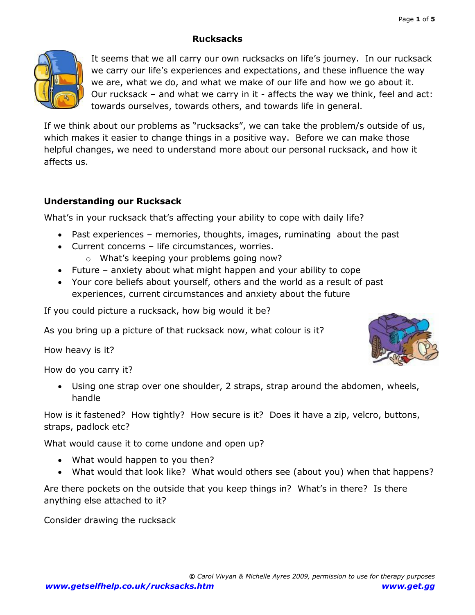### **Rucksacks**



It seems that we all carry our own rucksacks on life's journey. In our rucksack we carry our life's experiences and expectations, and these influence the way we are, what we do, and what we make of our life and how we go about it. Our rucksack – and what we carry in it - affects the way we think, feel and act: towards ourselves, towards others, and towards life in general.

If we think about our problems as "rucksacks", we can take the problem/s outside of us, which makes it easier to change things in a positive way. Before we can make those helpful changes, we need to understand more about our personal rucksack, and how it affects us.

#### **Understanding our Rucksack**

What's in your rucksack that's affecting your ability to cope with daily life?

- Past experiences memories, thoughts, images, ruminating about the past
- Current concerns life circumstances, worries.
	- o What's keeping your problems going now?
- Future anxiety about what might happen and your ability to cope
- Your core beliefs about yourself, others and the world as a result of past experiences, current circumstances and anxiety about the future

If you could picture a rucksack, how big would it be?

As you bring up a picture of that rucksack now, what colour is it?

How heavy is it?

How do you carry it?

 Using one strap over one shoulder, 2 straps, strap around the abdomen, wheels, handle

How is it fastened? How tightly? How secure is it? Does it have a zip, velcro, buttons, straps, padlock etc?

What would cause it to come undone and open up?

- What would happen to you then?
- What would that look like? What would others see (about you) when that happens?

Are there pockets on the outside that you keep things in? What's in there? Is there anything else attached to it?

Consider drawing the rucksack

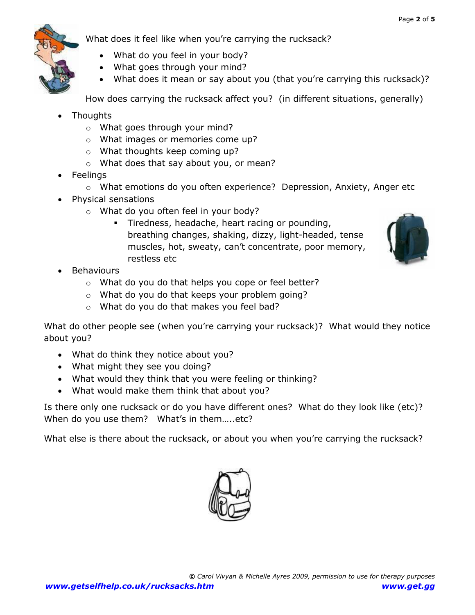

What does it feel like when you're carrying the rucksack?

- What do you feel in your body?
- What goes through your mind?
- What does it mean or say about you (that you're carrying this rucksack)?

How does carrying the rucksack affect you? (in different situations, generally)

- Thoughts
	- o What goes through your mind?
	- o What images or memories come up?
	- o What thoughts keep coming up?
	- o What does that say about you, or mean?
- Feelings
	- o What emotions do you often experience? Depression, Anxiety, Anger etc
- Physical sensations
	- o What do you often feel in your body?
		- **Tiredness, headache, heart racing or pounding,** breathing changes, shaking, dizzy, light-headed, tense muscles, hot, sweaty, can't concentrate, poor memory, restless etc



- Behaviours
	- o What do you do that helps you cope or feel better?
	- o What do you do that keeps your problem going?
	- o What do you do that makes you feel bad?

What do other people see (when you're carrying your rucksack)? What would they notice about you?

- What do think they notice about you?
- What might they see you doing?
- What would they think that you were feeling or thinking?
- What would make them think that about you?

Is there only one rucksack or do you have different ones? What do they look like (etc)? When do you use them? What's in them.....etc?

What else is there about the rucksack, or about you when you're carrying the rucksack?

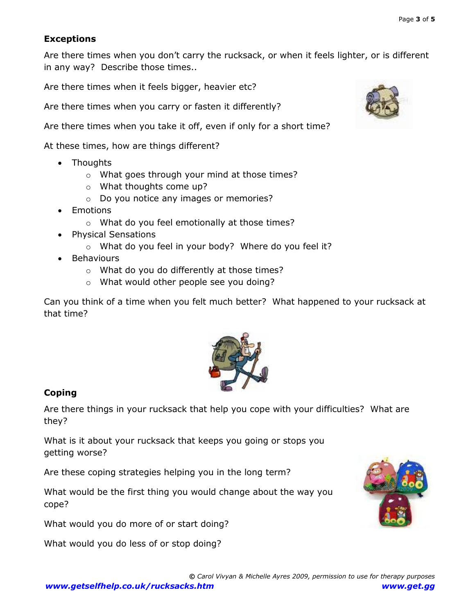### **Exceptions**

Are there times when you don't carry the rucksack, or when it feels lighter, or is different in any way? Describe those times..

Are there times when it feels bigger, heavier etc?

Are there times when you carry or fasten it differently?

Are there times when you take it off, even if only for a short time?

At these times, how are things different?

- Thoughts
	- o What goes through your mind at those times?
	- o What thoughts come up?
	- o Do you notice any images or memories?
- Emotions
	- o What do you feel emotionally at those times?
- Physical Sensations
	- o What do you feel in your body? Where do you feel it?
- Behaviours
	- o What do you do differently at those times?
	- o What would other people see you doing?

Can you think of a time when you felt much better? What happened to your rucksack at that time?



# **Coping**

Are there things in your rucksack that help you cope with your difficulties? What are they?

What is it about your rucksack that keeps you going or stops you getting worse?

Are these coping strategies helping you in the long term?

What would be the first thing you would change about the way you cope?

What would you do more of or start doing?

What would you do less of or stop doing?



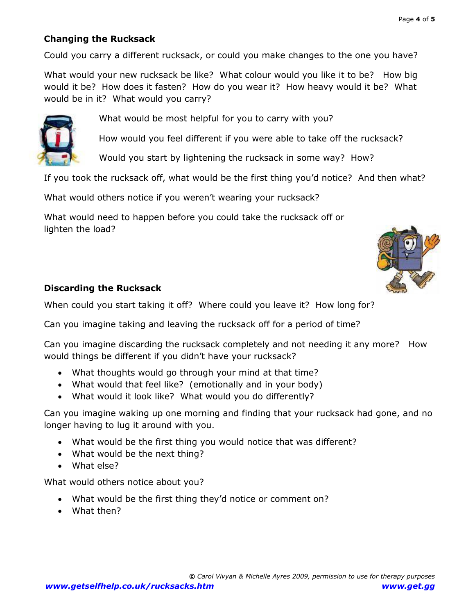## **Changing the Rucksack**

Could you carry a different rucksack, or could you make changes to the one you have?

What would your new rucksack be like? What colour would you like it to be? How big would it be? How does it fasten? How do you wear it? How heavy would it be? What would be in it? What would you carry?



What would be most helpful for you to carry with you?

How would you feel different if you were able to take off the rucksack?

Would you start by lightening the rucksack in some way? How?

If you took the rucksack off, what would be the first thing you'd notice? And then what?

What would others notice if you weren't wearing your rucksack?

What would need to happen before you could take the rucksack off or lighten the load?



## **Discarding the Rucksack**

When could you start taking it off? Where could you leave it? How long for?

Can you imagine taking and leaving the rucksack off for a period of time?

Can you imagine discarding the rucksack completely and not needing it any more? How would things be different if you didn't have your rucksack?

- What thoughts would go through your mind at that time?
- What would that feel like? (emotionally and in your body)
- What would it look like? What would you do differently?

Can you imagine waking up one morning and finding that your rucksack had gone, and no longer having to lug it around with you.

- What would be the first thing you would notice that was different?
- What would be the next thing?
- What else?

What would others notice about you?

- What would be the first thing they'd notice or comment on?
- What then?